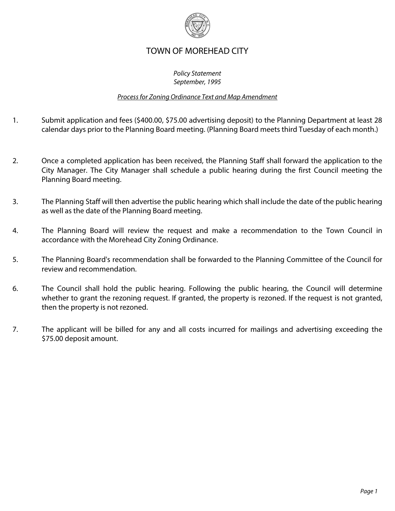

## TOWN OF MOREHEAD CITY

## *Policy Statement September, 1995*

## *Process for Zoning Ordinance Text and Map Amendment*

- 1. Submit application and fees (\$400.00, \$75.00 advertising deposit) to the Planning Department at least 28 calendar days prior to the Planning Board meeting. (Planning Board meets third Tuesday of each month.)
- 2. Once a completed application has been received, the Planning Staff shall forward the application to the City Manager. The City Manager shall schedule a public hearing during the first Council meeting the Planning Board meeting.
- 3. The Planning Staff will then advertise the public hearing which shall include the date of the public hearing as well as the date of the Planning Board meeting.
- 4. The Planning Board will review the request and make a recommendation to the Town Council in accordance with the Morehead City Zoning Ordinance.
- 5. The Planning Board's recommendation shall be forwarded to the Planning Committee of the Council for review and recommendation.
- 6. The Council shall hold the public hearing. Following the public hearing, the Council will determine whether to grant the rezoning request. If granted, the property is rezoned. If the request is not granted, then the property is not rezoned.
- 7. The applicant will be billed for any and all costs incurred for mailings and advertising exceeding the \$75.00 deposit amount.